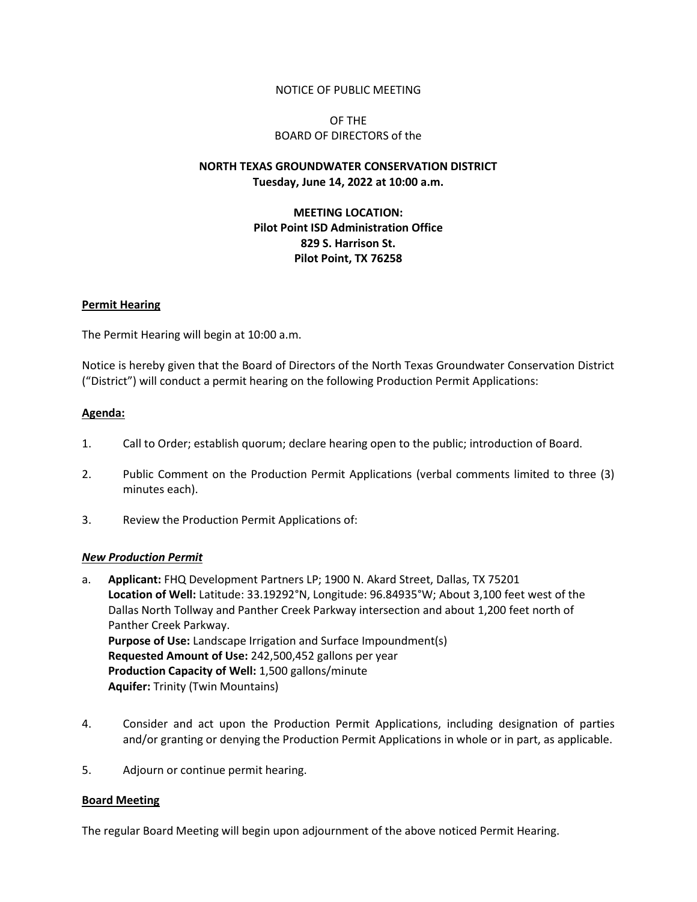### NOTICE OF PUBLIC MEETING

## OF THE BOARD OF DIRECTORS of the

# **NORTH TEXAS GROUNDWATER CONSERVATION DISTRICT Tuesday, June 14, 2022 at 10:00 a.m.**

# **MEETING LOCATION: Pilot Point ISD Administration Office 829 S. Harrison St. Pilot Point, TX 76258**

### **Permit Hearing**

The Permit Hearing will begin at 10:00 a.m.

Notice is hereby given that the Board of Directors of the North Texas Groundwater Conservation District ("District") will conduct a permit hearing on the following Production Permit Applications:

### **Agenda:**

- 1. Call to Order; establish quorum; declare hearing open to the public; introduction of Board.
- 2. Public Comment on the Production Permit Applications (verbal comments limited to three (3) minutes each).
- 3. Review the Production Permit Applications of:

#### *New Production Permit*

- a. **Applicant:** FHQ Development Partners LP; 1900 N. Akard Street, Dallas, TX 75201 **Location of Well:** Latitude: 33.19292°N, Longitude: 96.84935°W; About 3,100 feet west of the Dallas North Tollway and Panther Creek Parkway intersection and about 1,200 feet north of Panther Creek Parkway. **Purpose of Use:** Landscape Irrigation and Surface Impoundment(s) **Requested Amount of Use:** 242,500,452 gallons per year **Production Capacity of Well:** 1,500 gallons/minute **Aquifer:** Trinity (Twin Mountains)
- 4. Consider and act upon the Production Permit Applications, including designation of parties and/or granting or denying the Production Permit Applications in whole or in part, as applicable.
- 5. Adjourn or continue permit hearing.

#### **Board Meeting**

The regular Board Meeting will begin upon adjournment of the above noticed Permit Hearing.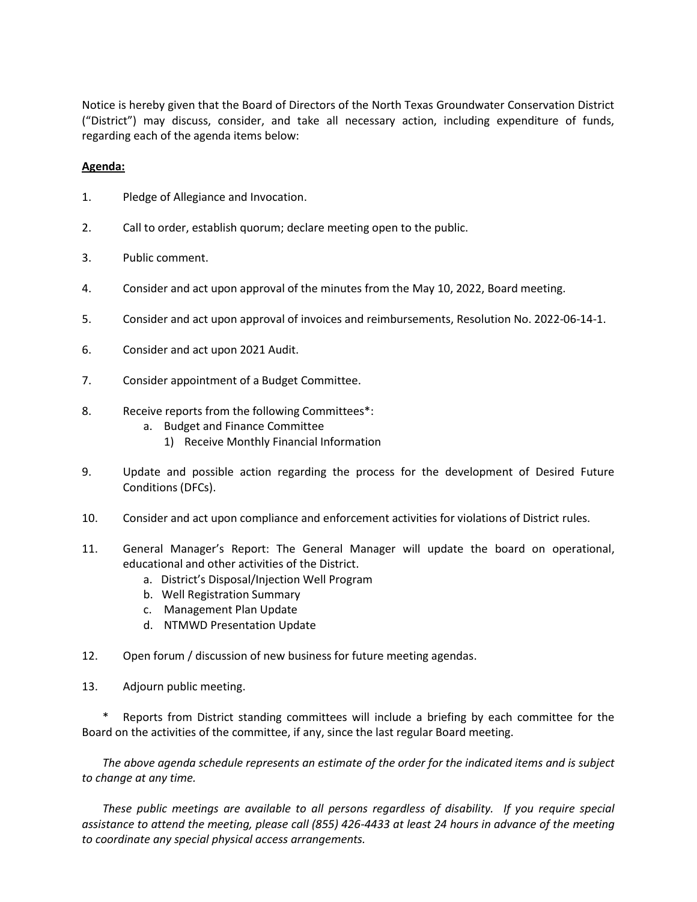Notice is hereby given that the Board of Directors of the North Texas Groundwater Conservation District ("District") may discuss, consider, and take all necessary action, including expenditure of funds, regarding each of the agenda items below:

## **Agenda:**

- 1. Pledge of Allegiance and Invocation.
- 2. Call to order, establish quorum; declare meeting open to the public.
- 3. Public comment.
- 4. Consider and act upon approval of the minutes from the May 10, 2022, Board meeting.
- 5. Consider and act upon approval of invoices and reimbursements, Resolution No. 2022-06-14-1.
- 6. Consider and act upon 2021 Audit.
- 7. Consider appointment of a Budget Committee.
- 8. Receive reports from the following Committees\*:
	- a. Budget and Finance Committee
		- 1) Receive Monthly Financial Information
- 9. Update and possible action regarding the process for the development of Desired Future Conditions (DFCs).
- 10. Consider and act upon compliance and enforcement activities for violations of District rules.
- 11. General Manager's Report: The General Manager will update the board on operational, educational and other activities of the District.
	- a. District's Disposal/Injection Well Program
	- b. Well Registration Summary
	- c. Management Plan Update
	- d. NTMWD Presentation Update
- 12. Open forum / discussion of new business for future meeting agendas.
- 13. Adjourn public meeting.

Reports from District standing committees will include a briefing by each committee for the Board on the activities of the committee, if any, since the last regular Board meeting.

*The above agenda schedule represents an estimate of the order for the indicated items and is subject to change at any time.* 

*These public meetings are available to all persons regardless of disability. If you require special assistance to attend the meeting, please call (855) 426-4433 at least 24 hours in advance of the meeting to coordinate any special physical access arrangements.*